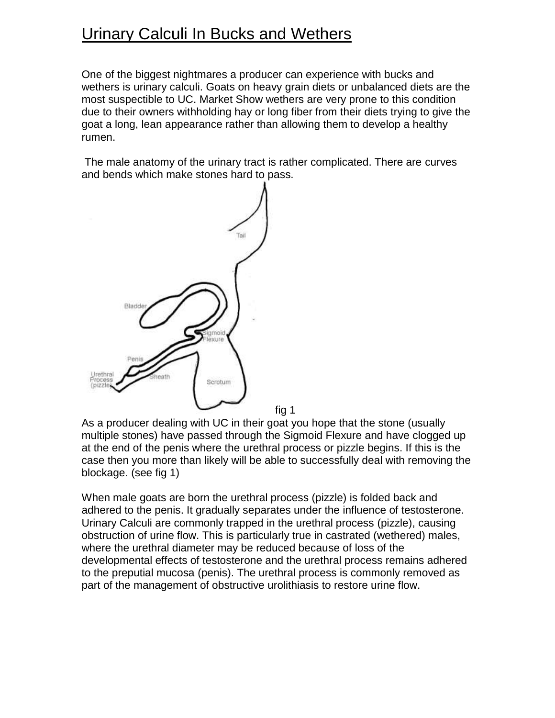## Urinary Calculi In Bucks and Wethers

One of the biggest nightmares a producer can experience with bucks and wethers is urinary calculi. Goats on heavy grain diets or unbalanced diets are the most suspectible to UC. Market Show wethers are very prone to this condition due to their owners withholding hay or long fiber from their diets trying to give the goat a long, lean appearance rather than allowing them to develop a healthy rumen.

The male anatomy of the urinary tract is rather complicated. There are curves and bends which make stones hard to pass.



As a producer dealing with UC in their goat you hope that the stone (usually multiple stones) have passed through the Sigmoid Flexure and have clogged up at the end of the penis where the urethral process or pizzle begins. If this is the case then you more than likely will be able to successfully deal with removing the blockage. (see fig 1)

When male goats are born the urethral process (pizzle) is folded back and adhered to the penis. It gradually separates under the influence of testosterone. Urinary Calculi are commonly trapped in the urethral process (pizzle), causing obstruction of urine flow. This is particularly true in castrated (wethered) males, where the urethral diameter may be reduced because of loss of the developmental effects of testosterone and the urethral process remains adhered to the preputial mucosa (penis). The urethral process is commonly removed as part of the management of obstructive urolithiasis to restore urine flow.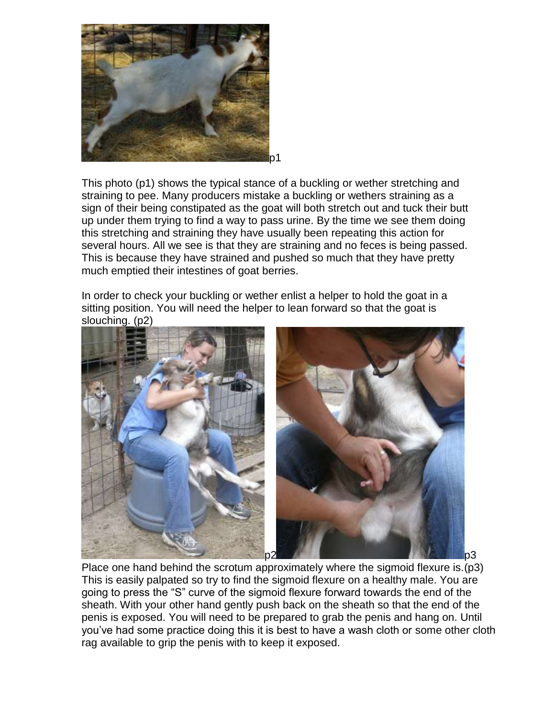

This photo (p1) shows the typical stance of a buckling or wether stretching and straining to pee. Many producers mistake a buckling or wethers straining as a sign of their being constipated as the goat will both stretch out and tuck their butt up under them trying to find a way to pass urine. By the time we see them doing this stretching and straining they have usually been repeating this action for several hours. All we see is that they are straining and no feces is being passed. This is because they have strained and pushed so much that they have pretty much emptied their intestines of goat berries.

In order to check your buckling or wether enlist a helper to hold the goat in a sitting position. You will need the helper to lean forward so that the goat is slouching. (p2)



Place one hand behind the scrotum approximately where the sigmoid flexure is.(p3) This is easily palpated so try to find the sigmoid flexure on a healthy male. You are going to press the "S" curve of the sigmoid flexure forward towards the end of the sheath. With your other hand gently push back on the sheath so that the end of the penis is exposed. You will need to be prepared to grab the penis and hang on. Until you've had some practice doing this it is best to have a wash cloth or some other cloth rag available to grip the penis with to keep it exposed.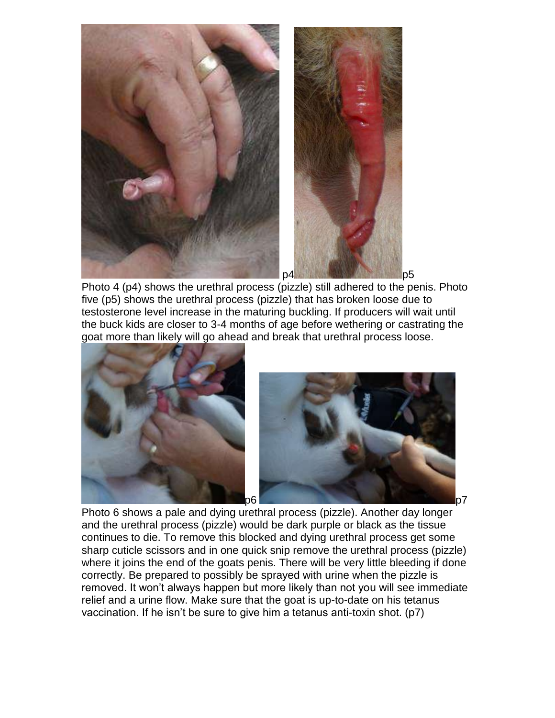

Photo 4 (p4) shows the urethral process (pizzle) still adhered to the penis. Photo five (p5) shows the urethral process (pizzle) that has broken loose due to testosterone level increase in the maturing buckling. If producers will wait until the buck kids are closer to 3-4 months of age before wethering or castrating the goat more than likely will go ahead and break that urethral process loose.





Photo 6 shows a pale and dying urethral process (pizzle). Another day longer and the urethral process (pizzle) would be dark purple or black as the tissue continues to die. To remove this blocked and dying urethral process get some sharp cuticle scissors and in one quick snip remove the urethral process (pizzle) where it joins the end of the goats penis. There will be very little bleeding if done correctly. Be prepared to possibly be sprayed with urine when the pizzle is removed. It won't always happen but more likely than not you will see immediate relief and a urine flow. Make sure that the goat is up-to-date on his tetanus vaccination. If he isn't be sure to give him a tetanus anti-toxin shot. (p7)